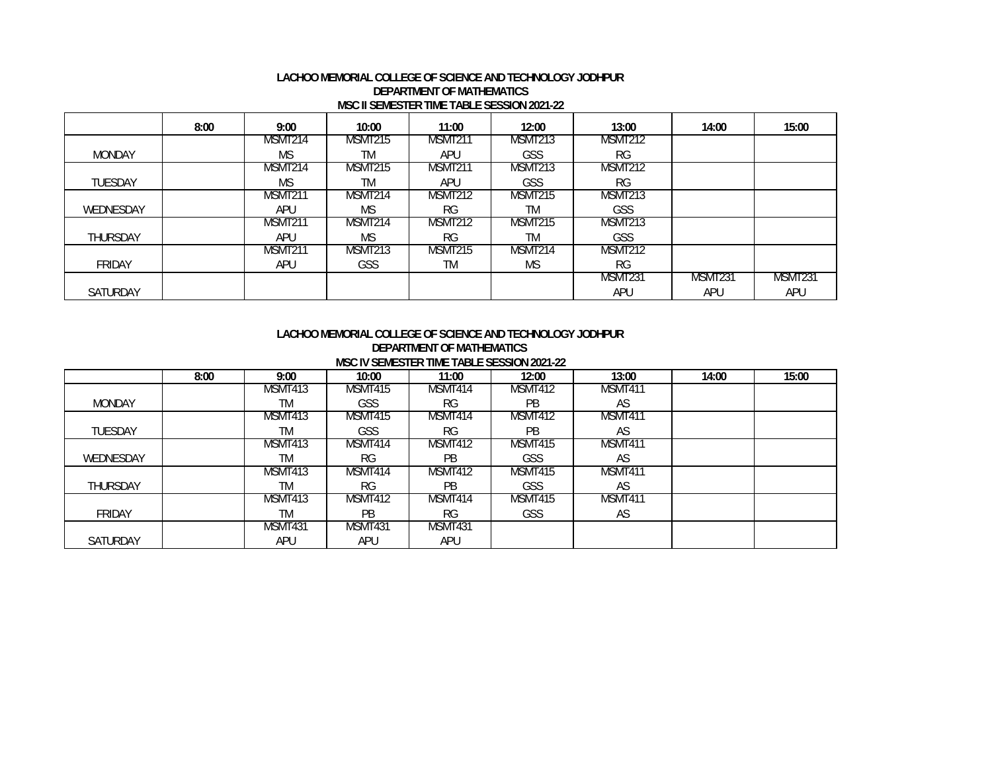#### **LACHOO MEMORIAL COLLEGE OF SCIENCE AND TECHNOLOGY JODHPUR DEPARTMENT OF MATHEMATICS MSC II SEMESTER TIME TABLE SESSION 2021-22**

|                 | 8:00 | 9:00           | 10:00          | 11:00          | 12:00     | 13:00          | 14:00   | 15:00   |
|-----------------|------|----------------|----------------|----------------|-----------|----------------|---------|---------|
|                 |      | MSMT214        | MSMT215        | MSMT211        | MSMT213   | MSMT212        |         |         |
| <b>MONDAY</b>   |      | ΜS             | TM             | APU            | GSS       | <b>RG</b>      |         |         |
|                 |      | MSMT214        | MSMT215        | <b>MSMT211</b> | MSMT213   | <b>MSMT212</b> |         |         |
| <b>TUESDAY</b>  |      | ΜS             | TM             | APU            | GSS       | <b>RG</b>      |         |         |
|                 |      | <b>MSMT211</b> | MSMT214        | <b>MSMT212</b> | MSMT215   | MSMT213        |         |         |
| WEDNESDAY       |      | APU            | MS             | <b>RG</b>      | TM        | GSS            |         |         |
|                 |      | MSMT211        | MSMT214        | MSMT212        | MSMT215   | MSMT213        |         |         |
| <b>THURSDAY</b> |      | APU            | MS             | <b>RG</b>      | ТM        | GSS            |         |         |
|                 |      | MSMT21         | <b>MSMT213</b> | MSMT215        | MSMT214   | <b>MSMT212</b> |         |         |
| FRIDAY          |      | APU            | <b>GSS</b>     | ТM             | <b>MS</b> | <b>RG</b>      |         |         |
|                 |      |                |                |                |           | MSMT231        | MSMT231 | MSMT231 |
| <b>SATURDAY</b> |      |                |                |                |           | APU            | APU     | APU     |

#### **LACHOO MEMORIAL COLLEGE OF SCIENCE AND TECHNOLOGY JODHPURDEPARTMENT OF MATHEMATICS MSC IV SEMESTER TIME TABLE SESSION 2021-22**

|                 | 8:00 | 9:00      | 10:00      | <b>INDO IN JEMEJTER TIME TADEL JEJJIVIN ZVAT ZA</b><br>11:00 | 12:00          | 13:00   | 14:00 | 15:00 |
|-----------------|------|-----------|------------|--------------------------------------------------------------|----------------|---------|-------|-------|
|                 |      | MSMT413   | MSMT415    | MSMT414                                                      | MSMT412        | MSMT411 |       |       |
| <b>MONDAY</b>   |      | TM        | <b>GSS</b> | <b>RG</b>                                                    | PB             | AS      |       |       |
|                 |      | MSMT413   | MSMT415    | MSMT414                                                      | <b>MSMT412</b> | MSMT411 |       |       |
| <b>TUESDAY</b>  |      | TM        | <b>GSS</b> | <b>RG</b>                                                    | PB.            | AS      |       |       |
|                 |      | MSMT413   | MSMT414    | MSMT412                                                      | MSMT415        | MSMT411 |       |       |
| WEDNESDAY       |      | <b>TM</b> | RG.        | <b>PB</b>                                                    | <b>GSS</b>     | AS      |       |       |
|                 |      | MSMT413   | MSMT414    | MSMT412                                                      | MSMT415        | MSMT411 |       |       |
| <b>THURSDAY</b> |      | <b>TM</b> | RG.        | <b>PB</b>                                                    | <b>GSS</b>     | AS      |       |       |
|                 |      | MSMT413   | MSMT412    | MSMT414                                                      | MSMT415        | MSMT411 |       |       |
| <b>FRIDAY</b>   |      | <b>TM</b> | <b>PB</b>  | RG.                                                          | <b>GSS</b>     | AS      |       |       |
|                 |      | MSMT431   | MSMT431    | MSMT431                                                      |                |         |       |       |
| SATURDAY        |      | APU       | APU        | APU                                                          |                |         |       |       |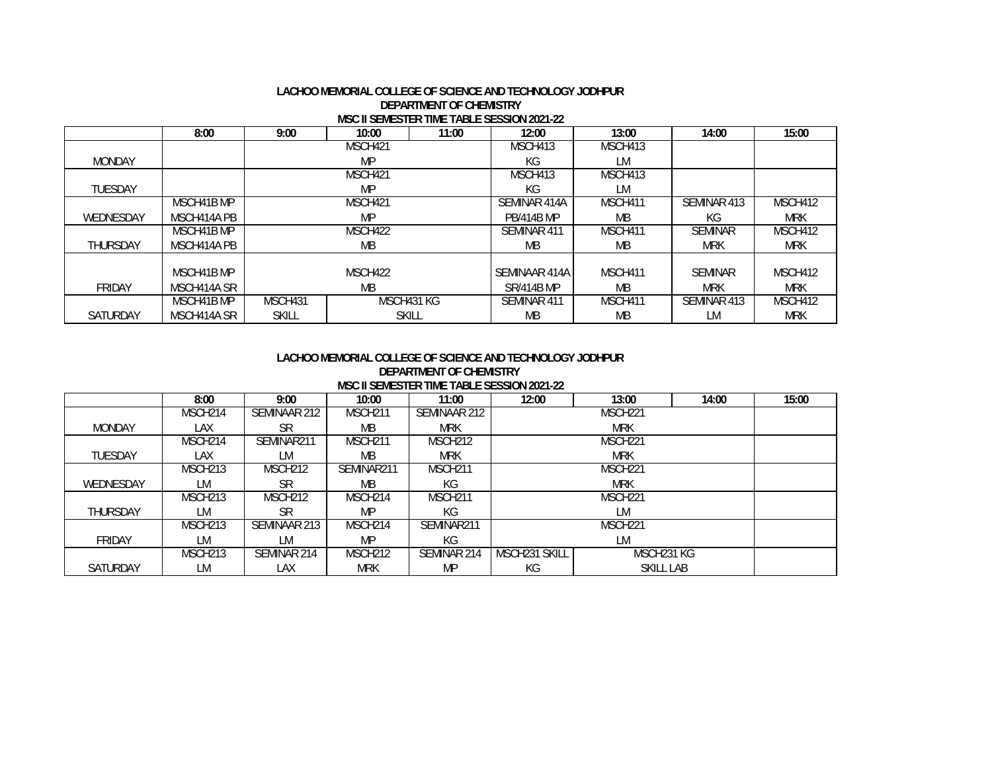#### **LACHOO MEMORIAL COLLEGE OF SCIENCE AND TECHNOLOGY JODHPUR DEPARTMENT OF CHEMISTRYMSC II SEMESTER TIME TABLE SESSION 2021-22**

|                 | 8:00        | 9:00         | 10:00      | 11:00        | 12:00             | 13:00     | 14:00          | 15:00      |
|-----------------|-------------|--------------|------------|--------------|-------------------|-----------|----------------|------------|
|                 |             |              | MSCH421    |              | MSCH413           | MSCH413   |                |            |
| <b>MONDAY</b>   |             |              | MP         |              | КG                | LM        |                |            |
|                 |             |              | MSCH421    |              | MSCH413           | MSCH413   |                |            |
| <b>TUESDAY</b>  |             |              | MP         |              | КG                | LМ        |                |            |
|                 | MSCH41B MP  |              | MSCH421    |              | SEMINAR 414A      | MSCH411   | SEMINAR 413    | MSCH412    |
| WEDNESDAY       | MSCH414A PB |              | MP         |              | <b>PB/414B MP</b> | <b>MB</b> | КG             | <b>MRK</b> |
|                 | MSCH41B MP  |              | MSCH422    |              | SEMINAR 411       | MSCH411   | <b>SEMINAR</b> | MSCH412    |
| <b>THURSDAY</b> | MSCH414A PB |              | МB         |              | MВ                | MB.       | <b>MRK</b>     | <b>MRK</b> |
|                 |             |              |            |              |                   |           |                |            |
|                 | MSCH41B MP  |              | MSCH422    |              | SEMINAAR 414A     | MSCH411   | <b>SEMINAR</b> | MSCH412    |
| <b>FRIDAY</b>   | MSCH414A SR |              | MВ         |              |                   | <b>MB</b> | <b>MRK</b>     | <b>MRK</b> |
|                 | MSCH41B MP  | MSCH431      | MSCH431 KG |              | SEMINAR 411       | MSCH411   | SEMINAR 413    | MSCH412    |
| <b>SATURDAY</b> | MSCH414A SR | <b>SKILL</b> |            | <b>SKILL</b> | МB                | <b>MB</b> | LM             | <b>MRK</b> |

### **LACHOO MEMORIAL COLLEGE OF SCIENCE AND TECHNOLOGY JODHPURDEPARTMENT OF CHEMISTRY MSC II SEMESTER TIME TABLE SESSION 2021-22**

|                 | 8:00                | 9:00                | 10:00               | 11:00               | 12:00         | 13:00               | 14:00 | 15:00 |
|-----------------|---------------------|---------------------|---------------------|---------------------|---------------|---------------------|-------|-------|
|                 | MSCH <sub>214</sub> | SEMINAAR 212        | MSCH <sub>211</sub> | SEMINAAR 212        |               | MSCH <sub>221</sub> |       |       |
| <b>MONDAY</b>   | LAX                 | SR                  | MВ                  | <b>MRK</b>          |               | <b>MRK</b>          |       |       |
|                 | MSCH <sub>214</sub> | SEMINAR211          | MSCH <sub>211</sub> | MSCH <sub>212</sub> |               | MSCH <sub>221</sub> |       |       |
| <b>TUESDAY</b>  | LAX                 | LM                  | MВ                  | <b>MRK</b>          |               | <b>MRK</b>          |       |       |
|                 | MSCH <sub>213</sub> | MSCH <sub>212</sub> | SEMINAR211          | MSCH <sub>211</sub> |               | MSCH <sub>221</sub> |       |       |
| WEDNESDAY       | LM                  | SR                  | MВ                  | КG                  |               | <b>MRK</b>          |       |       |
|                 | MSCH <sub>213</sub> | MSCH <sub>212</sub> | MSCH <sub>214</sub> | MSCH <sub>211</sub> |               | MSCH <sub>221</sub> |       |       |
| <b>THURSDAY</b> | LM                  | SR                  | MP                  | КG                  |               | LM                  |       |       |
|                 | MSCH <sub>213</sub> | SEMINAAR 213        | MSCH <sub>214</sub> | SEMINAR211          |               | MSCH <sub>221</sub> |       |       |
| <b>FRIDAY</b>   | LM                  | LM                  | MP                  | КG                  |               | LМ                  |       |       |
|                 | MSCH <sub>213</sub> | SEMINAR 214         | MSCH <sub>212</sub> | SEMINAR 214         | MSCH231 SKILL | MSCH231 KG          |       |       |
| <b>SATURDAY</b> | LM                  | LAX                 | <b>MRK</b>          | MP                  | КG            | SKILL LAB           |       |       |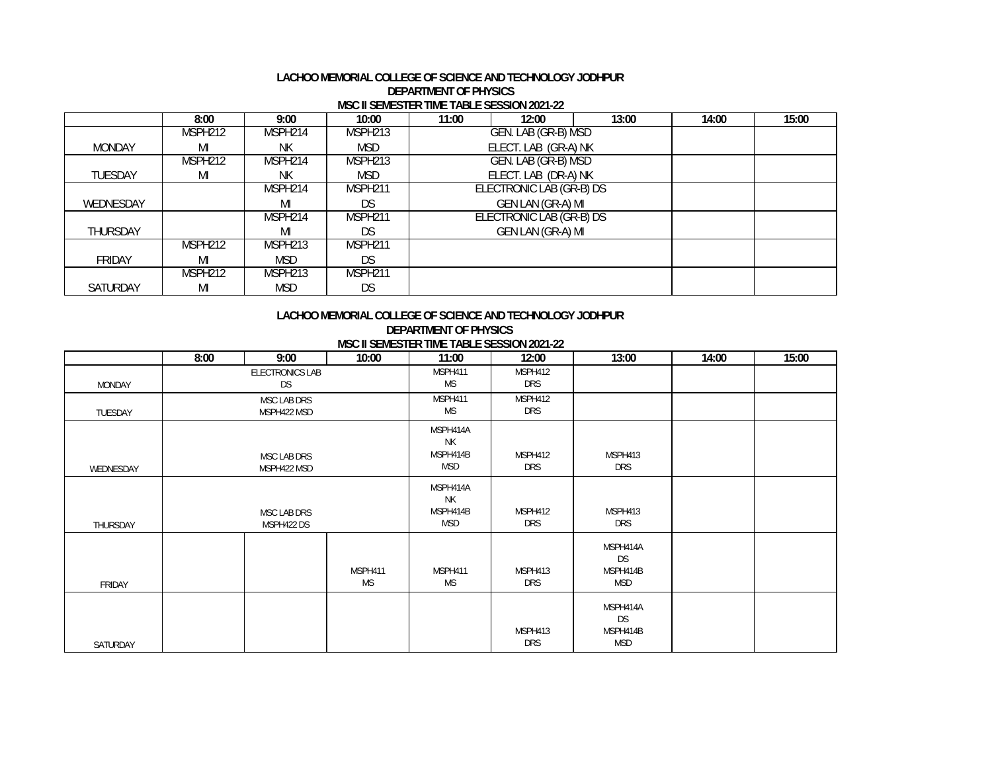#### **LACHOO MEMORIAL COLLEGE OF SCIENCE AND TECHNOLOGY JODHPUR DEPARTMENT OF PHYSICS MSC II SEMESTER TIME TABLE SESSION 2021-22**

|                 | 8:00                | 9:00                | 10:00               | 11:00 | 12:00                    | 13:00 | 14:00 | 15:00 |
|-----------------|---------------------|---------------------|---------------------|-------|--------------------------|-------|-------|-------|
|                 | MSPH <sub>212</sub> | MSPH214             | MSPH213             |       | GEN. LAB (GR-B) MSD      |       |       |       |
| <b>MONDAY</b>   | MI                  | ΝK                  | <b>MSD</b>          |       | ELECT. LAB (GR-A) NK     |       |       |       |
|                 | MSPH <sub>212</sub> | MSPH214             | MSPH213             |       | GEN. LAB (GR-B) MSD      |       |       |       |
| <b>TUESDAY</b>  | MI                  | ΝK                  | <b>MSD</b>          |       | ELECT. LAB (DR-A) NK     |       |       |       |
|                 |                     | MSPH214             | MSPH211             |       | ELECTRONIC LAB (GR-B) DS |       |       |       |
| WEDNESDAY       |                     | MI                  | DS                  |       | GEN LAN (GR-A) MI        |       |       |       |
|                 |                     | MSPH <sub>214</sub> | MSPH <sub>211</sub> |       | ELECTRONIC LAB (GR-B) DS |       |       |       |
| <b>THURSDAY</b> |                     | MI                  | DS                  |       | GEN LAN (GR-A) MI        |       |       |       |
|                 | MSPH <sub>212</sub> | MSPH <sub>213</sub> | MSPH211             |       |                          |       |       |       |
| <b>FRIDAY</b>   | MI                  | <b>MSD</b>          | <b>DS</b>           |       |                          |       |       |       |
|                 | MSPH <sub>212</sub> | MSPH <sub>213</sub> | MSPH <sub>211</sub> |       |                          |       |       |       |
| <b>SATURDAY</b> | MI                  | <b>MSD</b>          | DS                  |       |                          |       |       |       |

# **LACHOO MEMORIAL COLLEGE OF SCIENCE AND TECHNOLOGY JODHPUR**

**MSC II SEMESTER TIME TABLE SESSION 2021-22DEPARTMENT OF PHYSICS** 

|               | 8:00 | 9:00                       | 10:00         | <b>MOCH SEMESTER TIME TADLE SESSION ZUZT-ZZ</b><br>11:00 | 12:00          | 13:00                                    | 14:00 | 15:00 |
|---------------|------|----------------------------|---------------|----------------------------------------------------------|----------------|------------------------------------------|-------|-------|
| <b>MONDAY</b> |      | ELECTRONICS LAB<br>DS      |               | MSPH411<br>ΜS                                            | MSPH412<br>DRS |                                          |       |       |
| TUESDAY       |      | MSC LAB DRS<br>MSPH422 MSD |               | MSPH411<br>ΜS                                            | MSPH412<br>DRS |                                          |       |       |
| WEDNESDAY     |      | MSC LAB DRS<br>MSPH422 MSD |               | MSPH414A<br><b>NK</b><br>MSPH414B<br>MSD                 | MSPH412<br>DRS | MSPH413<br>DRS                           |       |       |
| THURSDAY      |      | MSC LAB DRS<br>MSPH422 DS  |               | MSPH414A<br>NΚ<br>MSPH414B<br>MSD                        | MSPH412<br>DRS | MSPH413<br><b>DRS</b>                    |       |       |
| FRIDAY        |      |                            | MSPH411<br>ΜS | MSPH411<br>ΜS                                            | MSPH413<br>DRS | MSPH414A<br><b>DS</b><br>MSPH414B<br>MSD |       |       |
| SATURDAY      |      |                            |               |                                                          | MSPH413<br>DRS | MSPH414A<br><b>DS</b><br>MSPH414B<br>MSD |       |       |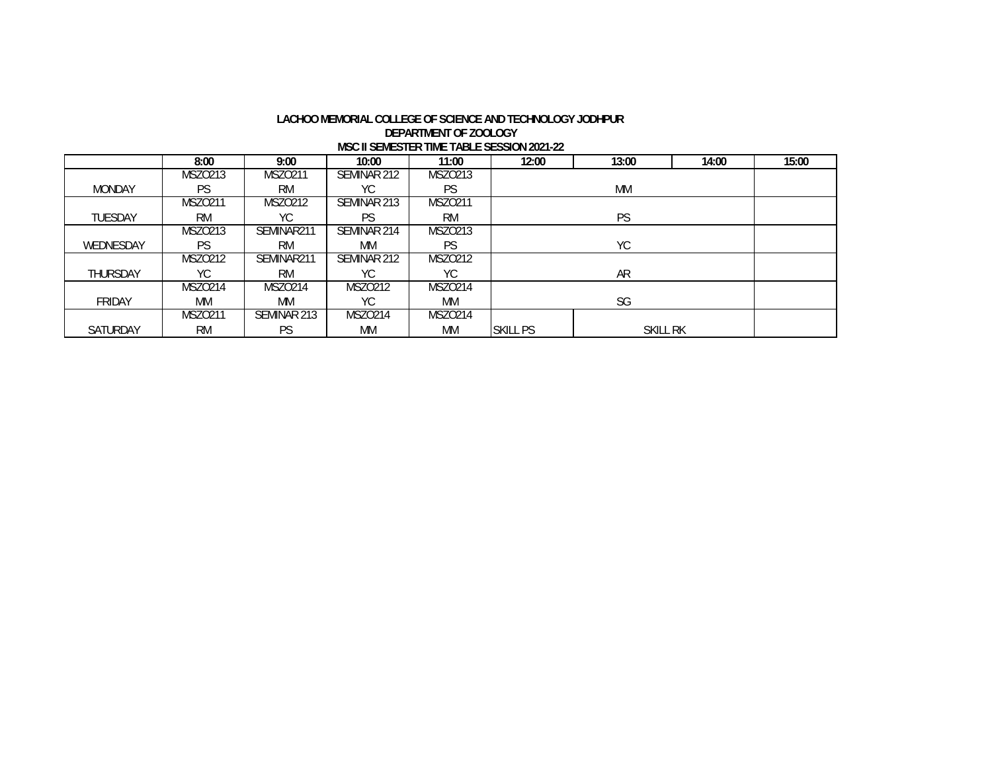#### **LACHOO MEMORIAL COLLEGE OF SCIENCE AND TECHNOLOGY JODHPUR DEPARTMENT OF ZOOLOGY MSC II SEMESTER TIME TABLE SESSION 2021-22**

|                 | 8:00           | 9:00           | 10:00          | 11:00          | 12:00           | 13:00           | 14:00 | 15:00 |
|-----------------|----------------|----------------|----------------|----------------|-----------------|-----------------|-------|-------|
|                 | MSZ0213        | MSZ0211        | SEMINAR 212    | MSZ0213        |                 |                 |       |       |
| <b>MONDAY</b>   | <b>PS</b>      | <b>RM</b>      | YС             | PS             |                 | MM              |       |       |
|                 | <b>MSZO211</b> | MSZ0212        | SEMINAR 213    | <b>MSZO211</b> |                 |                 |       |       |
| <b>TUESDAY</b>  | <b>RM</b>      | YС             | PS             | <b>RM</b>      |                 | <b>PS</b>       |       |       |
|                 | MSZ0213        | SEMINAR211     | SEMINAR 214    | MSZ0213        |                 |                 |       |       |
| WEDNESDAY       | PS             | <b>RM</b>      | МM             | PS             |                 | YC              |       |       |
|                 | <b>MSZO212</b> | SEMINAR211     | SEMINAR 212    | MSZ0212        |                 |                 |       |       |
| <b>THURSDAY</b> | YC.            | <b>RM</b>      | YС             | YС             |                 | <b>AR</b>       |       |       |
|                 | <b>MSZO214</b> | <b>MSZO214</b> | <b>MSZO212</b> | <b>MSZO214</b> |                 |                 |       |       |
| <b>FRIDAY</b>   | МM             | МM             | YС             | <b>MM</b>      |                 | SG              |       |       |
|                 | MSZ0211        | SEMINAR 213    | <b>MSZO214</b> | <b>MSZO214</b> |                 |                 |       |       |
| <b>SATURDAY</b> | <b>RM</b>      | PS             | МM             | <b>MM</b>      | <b>SKILL PS</b> | <b>SKILL RK</b> |       |       |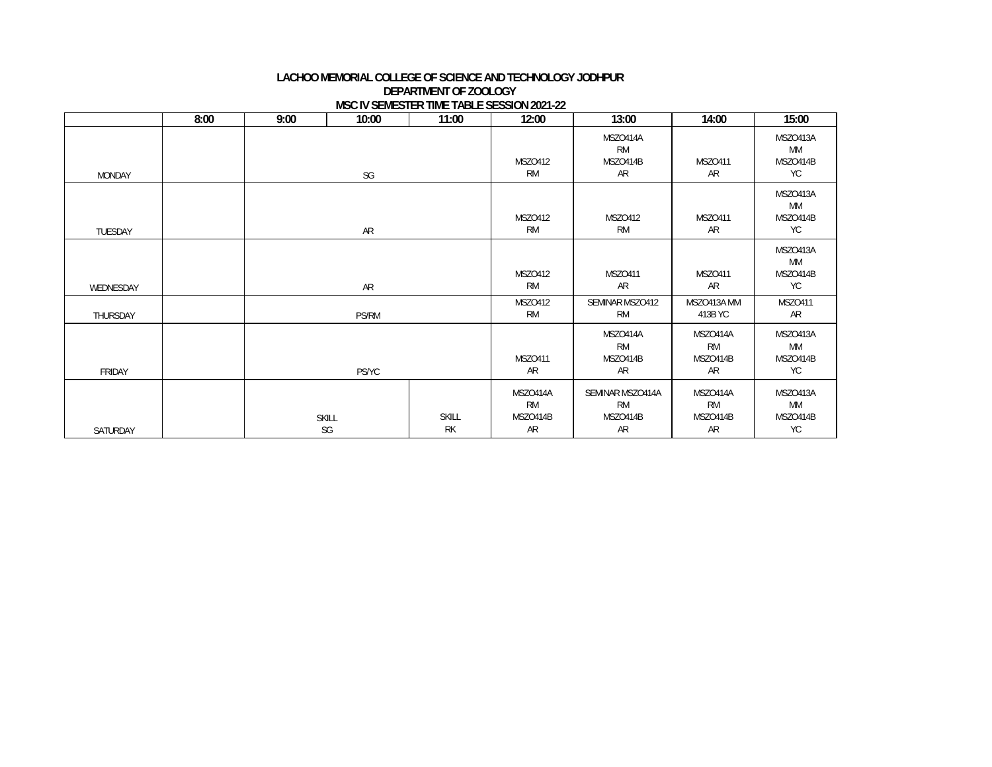## **DEPARTMENT OF ZOOLOGY MSC IV SEMESTER TIME TABLE SESSION 2021-22 LACHOO MEMORIAL COLLEGE OF SCIENCE AND TECHNOLOGY JODHPUR**

|               | 8:00 | 9:00 | 10:00              | 11:00                     | 12:00                                   | 13:00                                           | 14:00                                   | 15:00                                   |
|---------------|------|------|--------------------|---------------------------|-----------------------------------------|-------------------------------------------------|-----------------------------------------|-----------------------------------------|
| <b>MONDAY</b> |      |      | SG                 |                           | <b>MSZO412</b><br><b>RM</b>             | MSZO414A<br><b>RM</b><br>MSZO414B<br>AR         | <b>MSZO411</b><br>AR                    | MSZO413A<br>МM<br>MSZO414B<br><b>YC</b> |
| TUESDAY       |      |      | AR                 |                           | <b>MSZO412</b><br><b>RM</b>             | <b>MSZO412</b><br><b>RM</b>                     | <b>MSZO411</b><br>AR                    | MSZO413A<br>МM<br>MSZO414B<br><b>YC</b> |
| WEDNESDAY     |      |      | AR                 |                           | <b>MSZO412</b><br><b>RM</b>             | <b>MSZ0411</b><br>AR                            | <b>MSZO411</b><br>AR                    | MSZO413A<br>МM<br>MSZO414B<br><b>YC</b> |
| THURSDAY      |      |      | PS/RM              |                           | <b>MSZO412</b><br><b>RM</b>             | SEMINAR MSZO412<br><b>RM</b>                    | MSZO413A MM<br>413B YC                  | <b>MSZO411</b><br>AR                    |
| FRIDAY        |      |      | <b>PS/YC</b>       |                           | <b>MSZ0411</b><br>AR                    | MSZO414A<br><b>RM</b><br>MSZO414B<br>AR         | MSZO414A<br><b>RM</b><br>MSZO414B<br>AR | MSZO413A<br>МM<br>MSZO414B<br>YC        |
| SATURDAY      |      |      | <b>SKILL</b><br>SG | <b>SKILL</b><br><b>RK</b> | MSZO414A<br><b>RM</b><br>MSZO414B<br>AR | SEMINAR MSZO414A<br><b>RM</b><br>MSZO414B<br>AR | MSZO414A<br><b>RM</b><br>MSZO414B<br>AR | MSZO413A<br>МM<br>MSZO414B<br>YC        |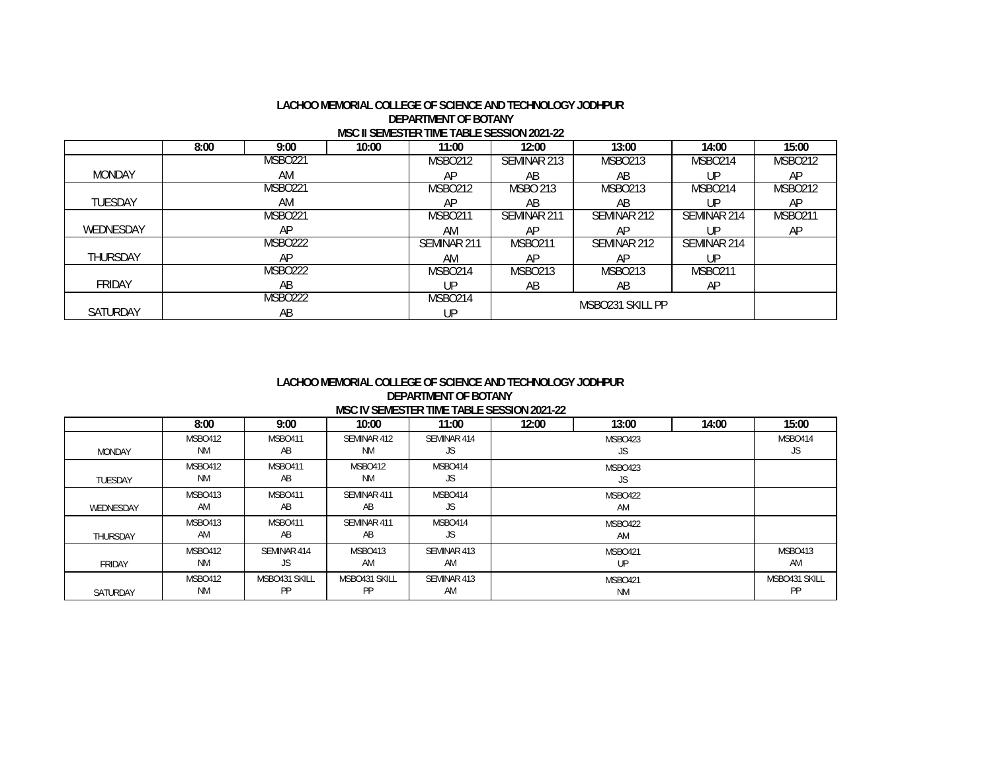## **MSC II SEMESTER TIME TABLE SESSION 2021-22 LACHOO MEMORIAL COLLEGE OF SCIENCE AND TECHNOLOGY JODHPURDEPARTMENT OF BOTANY**

|                 | 8:00 | 9:00           | 10:00 | 11:00          | 12:00           | 13:00            | 14:00          | 15:00          |
|-----------------|------|----------------|-------|----------------|-----------------|------------------|----------------|----------------|
|                 |      | <b>MSBO221</b> |       | <b>MSBO212</b> | SEMINAR 213     | MSB0213          | <b>MSBO214</b> | <b>MSBO212</b> |
| <b>MONDAY</b>   |      | AM             |       | AΡ             | AB              | AB               | UP             | AP             |
|                 |      | <b>MSBO221</b> |       | <b>MSBO212</b> | <b>MSBO 213</b> | <b>MSBO213</b>   | <b>MSBO214</b> | <b>MSBO212</b> |
| <b>TUESDAY</b>  |      | AM             |       | AP             | AB              | AB               | UP             | AP             |
|                 |      | <b>MSBO221</b> |       | <b>MSBO211</b> | SEMINAR 211     | SEMINAR 212      | SEMINAR 214    | <b>MSBO211</b> |
| WEDNESDAY       |      | AP             |       | AM             | AP              | AP               | UP             | AP             |
|                 |      | <b>MSBO222</b> |       | SEMINAR 211    | <b>MSBO211</b>  | SEMINAR 212      | SEMINAR 214    |                |
| <b>THURSDAY</b> |      | AP             |       | AM             | AP              | AP               | UP             |                |
|                 |      | <b>MSBO222</b> |       | MSBO214        | <b>MSBO213</b>  | <b>MSBO213</b>   | <b>MSBO211</b> |                |
| <b>FRIDAY</b>   |      | AB             |       | IJΡ            | AB              | AB               | AP             |                |
|                 |      | <b>MSBO222</b> |       | MSBO214        |                 | MSBO231 SKILL PP |                |                |
| <b>SATURDAY</b> |      | AB             |       | UP             |                 |                  |                |                |

### **LACHOO MEMORIAL COLLEGE OF SCIENCE AND TECHNOLOGY JODHPURDEPARTMENT OF BOTANY MSC IV SEMESTER TIME TABLE SESSION 2021-22**

|               | 8:00                 | 9:00                       | 10:00                | 11:00             | 12:00 | 13:00                       | 14:00 | 15:00               |
|---------------|----------------------|----------------------------|----------------------|-------------------|-------|-----------------------------|-------|---------------------|
| <b>MONDAY</b> | MSBO412<br><b>NM</b> | <b>MSBO411</b><br>AB       | SEMINAR 412<br>NM.   | SEMINAR 414<br>JS |       | MSBO423<br>JS               |       | MSBO414<br>JS       |
| TUESDAY       | MSBO412<br>ΝM        | <b>MSBO411</b><br>AB       | <b>MSBO412</b><br>NM | MSBO414<br>JS     |       |                             |       |                     |
| WEDNESDAY     | MSBO413<br>AM        | <b>MSBO411</b><br>AB       | SEMINAR 411<br>AB    | MSBO414<br>JS     |       | <b>MSBO422</b><br>AM        |       |                     |
| THURSDAY      | MSBO413<br>AM        | <b>MSBO411</b><br>AB       | SEMINAR 411<br>AB    | MSBO414<br>JS     |       | MSBO422<br>AM               |       |                     |
| <b>FRIDAY</b> | MSBO412<br><b>NM</b> | SEMINAR 414<br>JS          | MSBO413<br>AM        | SEMINAR 413<br>AM |       | <b>MSBO421</b><br>UP.       |       | MSBO413<br>AM       |
| SATURDAY      | MSBO412<br><b>NM</b> | MSBO431 SKILL<br><b>PP</b> | MSBO431 SKILL<br>PP  | SEMINAR 413<br>AM |       | <b>MSBO421</b><br><b>NM</b> |       | MSBO431 SKILL<br>PP |